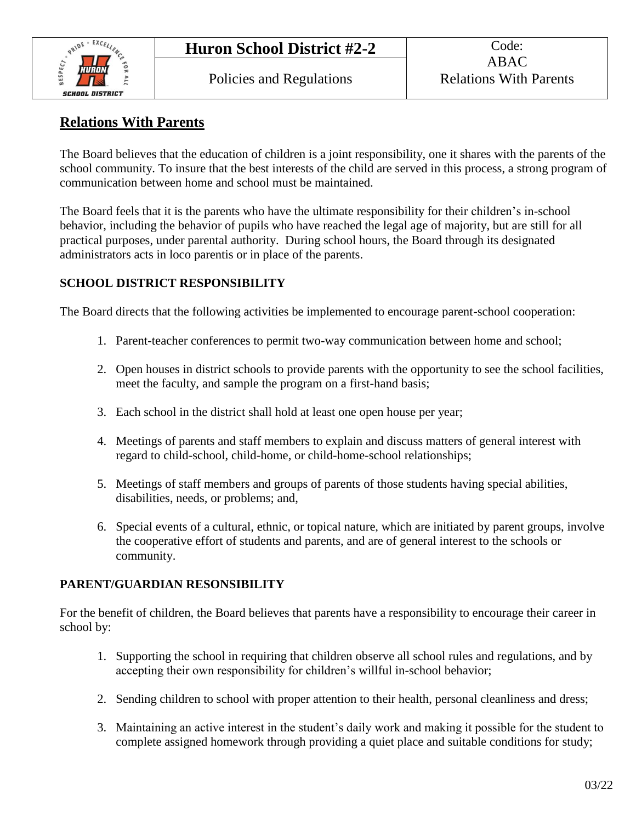

## **Relations With Parents**

The Board believes that the education of children is a joint responsibility, one it shares with the parents of the school community. To insure that the best interests of the child are served in this process, a strong program of communication between home and school must be maintained.

The Board feels that it is the parents who have the ultimate responsibility for their children's in-school behavior, including the behavior of pupils who have reached the legal age of majority, but are still for all practical purposes, under parental authority. During school hours, the Board through its designated administrators acts in loco parentis or in place of the parents.

## **SCHOOL DISTRICT RESPONSIBILITY**

The Board directs that the following activities be implemented to encourage parent-school cooperation:

- 1. Parent-teacher conferences to permit two-way communication between home and school;
- 2. Open houses in district schools to provide parents with the opportunity to see the school facilities, meet the faculty, and sample the program on a first-hand basis;
- 3. Each school in the district shall hold at least one open house per year;
- 4. Meetings of parents and staff members to explain and discuss matters of general interest with regard to child-school, child-home, or child-home-school relationships;
- 5. Meetings of staff members and groups of parents of those students having special abilities, disabilities, needs, or problems; and,
- 6. Special events of a cultural, ethnic, or topical nature, which are initiated by parent groups, involve the cooperative effort of students and parents, and are of general interest to the schools or community.

## **PARENT/GUARDIAN RESONSIBILITY**

For the benefit of children, the Board believes that parents have a responsibility to encourage their career in school by:

- 1. Supporting the school in requiring that children observe all school rules and regulations, and by accepting their own responsibility for children's willful in-school behavior;
- 2. Sending children to school with proper attention to their health, personal cleanliness and dress;
- 3. Maintaining an active interest in the student's daily work and making it possible for the student to complete assigned homework through providing a quiet place and suitable conditions for study;